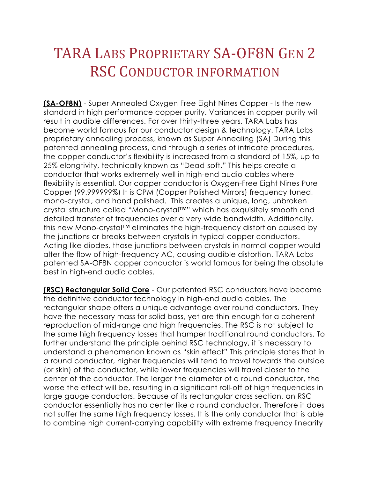## TARA LABS PROPRIETARY SA-OF8N GEN 2 RSC CONDUCTOR INFORMATION

**(SA-OF8N)** - Super Annealed Oxygen Free Eight Nines Copper - Is the new standard in high performance copper purity. Variances in copper purity will result in audible differences. For over thirty-three years, TARA Labs has become world famous for our conductor design & technology. TARA Labs proprietary annealing process, known as Super Annealing (SA) During this patented annealing process, and through a series of intricate procedures, the copper conductor's flexibility is increased from a standard of 15%, up to 25% elongtivity, technically known as "Dead-soft." This helps create a conductor that works extremely well in high-end audio cables where flexibility is essential. Our copper conductor is Oxygen-Free Eight Nines Pure Copper (99.999999%) It is CPM (Copper Polished Mirrors) frequency tuned, mono-crystal, and hand polished. This creates a unique, long, unbroken crystal structure called "Mono-crystal™" which has exquisitely smooth and detailed transfer of frequencies over a very wide bandwidth. Additionally, this new Mono-crystal™ eliminates the high-frequency distortion caused by the junctions or breaks between crystals in typical copper conductors. Acting like diodes, those junctions between crystals in normal copper would alter the flow of high-frequency AC, causing audible distortion. TARA Labs patented SA-OF8N copper conductor is world famous for being the absolute best in high-end audio cables.

**(RSC) Rectangular Solid Core** - Our patented RSC conductors have become the definitive conductor technology in high-end audio cables. The rectangular shape offers a unique advantage over round conductors. They have the necessary mass for solid bass, yet are thin enough for a coherent reproduction of mid-range and high frequencies. The RSC is not subject to the same high frequency losses that hamper traditional round conductors. To further understand the principle behind RSC technology, it is necessary to understand a phenomenon known as "skin effect" This principle states that in a round conductor, higher frequencies will tend to travel towards the outside (or skin) of the conductor, while lower frequencies will travel closer to the center of the conductor. The larger the diameter of a round conductor, the worse the effect will be, resulting in a significant roll-off of high frequencies in large gauge conductors. Because of its rectangular cross section, an RSC conductor essentially has no center like a round conductor. Therefore it does not suffer the same high frequency losses. It is the only conductor that is able to combine high current-carrying capability with extreme frequency linearity